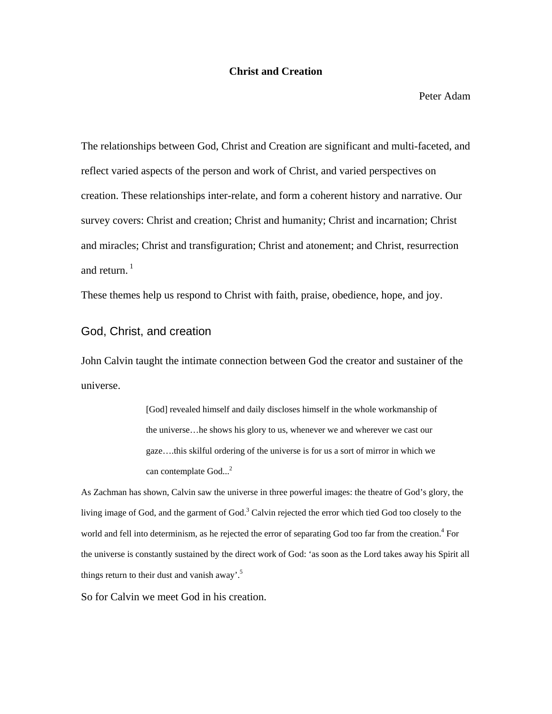#### **Christ and Creation**

Peter Adam

The relationships between God, Christ and Creation are significant and multi-faceted, and reflect varied aspects of the person and work of Christ, and varied perspectives on creation. These relationships inter-relate, and form a coherent history and narrative. Our survey covers: Christ and creation; Christ and humanity; Christ and incarnation; Christ and miracles; Christ and transfiguration; Christ and atonement; and Christ, resurrection and return. $1$ 

These themes help us respond to Christ with faith, praise, obedience, hope, and joy.

# God, Christ, and creation

John Calvin taught the intimate connection between God the creator and sustainer of the universe.

> [God] revealed himself and daily discloses himself in the whole workmanship of the universe…he shows his glory to us, whenever we and wherever we cast our gaze….this skilful ordering of the universe is for us a sort of mirror in which we can contemplate God...<sup>2</sup>

As Zachman has shown, Calvin saw the universe in three powerful images: the theatre of God's glory, the living image of God, and the garment of God.<sup>3</sup> Calvin rejected the error which tied God too closely to the world and fell into determinism, as he rejected the error of separating God too far from the creation.<sup>4</sup> For the universe is constantly sustained by the direct work of God: 'as soon as the Lord takes away his Spirit all things return to their dust and vanish away'.<sup>5</sup>

So for Calvin we meet God in his creation.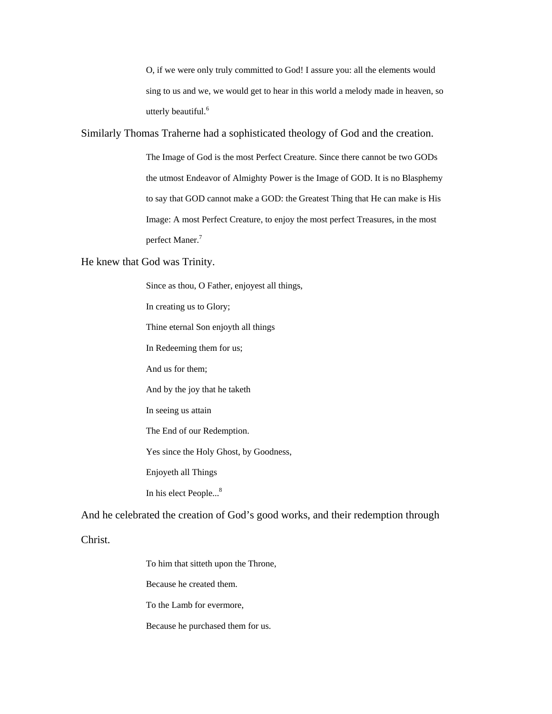O, if we were only truly committed to God! I assure you: all the elements would sing to us and we, we would get to hear in this world a melody made in heaven, so utterly beautiful.<sup>6</sup>

Similarly Thomas Traherne had a sophisticated theology of God and the creation.

The Image of God is the most Perfect Creature. Since there cannot be two GODs the utmost Endeavor of Almighty Power is the Image of GOD. It is no Blasphemy to say that GOD cannot make a GOD: the Greatest Thing that He can make is His Image: A most Perfect Creature, to enjoy the most perfect Treasures, in the most perfect Maner.<sup>7</sup>

He knew that God was Trinity.

Since as thou, O Father, enjoyest all things,

In creating us to Glory;

Thine eternal Son enjoyth all things

In Redeeming them for us;

And us for them;

And by the joy that he taketh

In seeing us attain

The End of our Redemption.

Yes since the Holy Ghost, by Goodness,

Enjoyeth all Things

In his elect People...<sup>8</sup>

And he celebrated the creation of God's good works, and their redemption through

Christ.

To him that sitteth upon the Throne,

Because he created them.

To the Lamb for evermore,

Because he purchased them for us.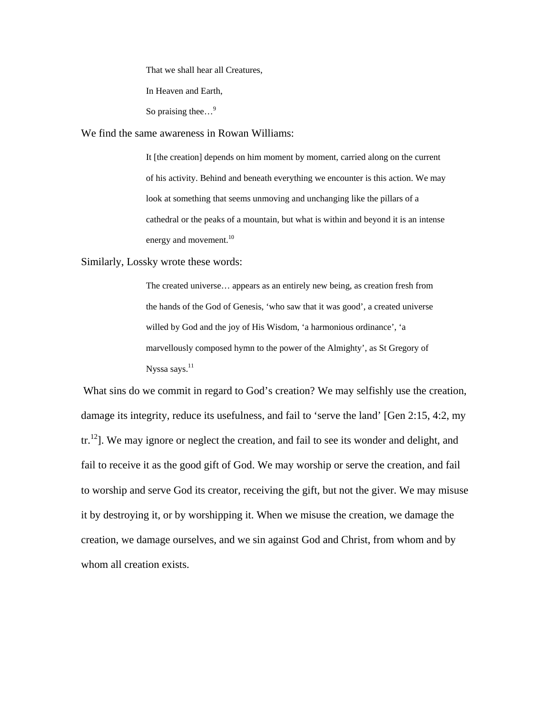That we shall hear all Creatures,

In Heaven and Earth,

So praising thee...<sup>9</sup>

We find the same awareness in Rowan Williams:

It [the creation] depends on him moment by moment, carried along on the current of his activity. Behind and beneath everything we encounter is this action. We may look at something that seems unmoving and unchanging like the pillars of a cathedral or the peaks of a mountain, but what is within and beyond it is an intense energy and movement.<sup>10</sup>

Similarly, Lossky wrote these words:

The created universe… appears as an entirely new being, as creation fresh from the hands of the God of Genesis, 'who saw that it was good', a created universe willed by God and the joy of His Wisdom, 'a harmonious ordinance', 'a marvellously composed hymn to the power of the Almighty', as St Gregory of Nyssa says.<sup>11</sup>

What sins do we commit in regard to God's creation? We may selfishly use the creation, damage its integrity, reduce its usefulness, and fail to 'serve the land' [Gen 2:15, 4:2, my  $tr<sup>12</sup>$ . We may ignore or neglect the creation, and fail to see its wonder and delight, and fail to receive it as the good gift of God. We may worship or serve the creation, and fail to worship and serve God its creator, receiving the gift, but not the giver. We may misuse it by destroying it, or by worshipping it. When we misuse the creation, we damage the creation, we damage ourselves, and we sin against God and Christ, from whom and by whom all creation exists.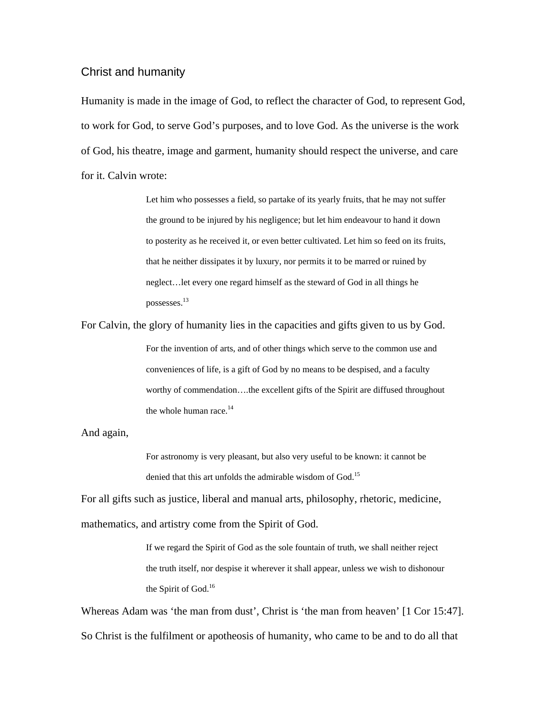## Christ and humanity

Humanity is made in the image of God, to reflect the character of God, to represent God, to work for God, to serve God's purposes, and to love God. As the universe is the work of God, his theatre, image and garment, humanity should respect the universe, and care for it. Calvin wrote:

> Let him who possesses a field, so partake of its yearly fruits, that he may not suffer the ground to be injured by his negligence; but let him endeavour to hand it down to posterity as he received it, or even better cultivated. Let him so feed on its fruits, that he neither dissipates it by luxury, nor permits it to be marred or ruined by neglect…let every one regard himself as the steward of God in all things he possesses.13

For Calvin, the glory of humanity lies in the capacities and gifts given to us by God. For the invention of arts, and of other things which serve to the common use and conveniences of life, is a gift of God by no means to be despised, and a faculty worthy of commendation….the excellent gifts of the Spirit are diffused throughout the whole human race. $14$ 

And again,

For astronomy is very pleasant, but also very useful to be known: it cannot be denied that this art unfolds the admirable wisdom of God.<sup>15</sup>

For all gifts such as justice, liberal and manual arts, philosophy, rhetoric, medicine, mathematics, and artistry come from the Spirit of God.

> If we regard the Spirit of God as the sole fountain of truth, we shall neither reject the truth itself, nor despise it wherever it shall appear, unless we wish to dishonour the Spirit of God.<sup>16</sup>

Whereas Adam was 'the man from dust', Christ is 'the man from heaven' [1 Cor 15:47]. So Christ is the fulfilment or apotheosis of humanity, who came to be and to do all that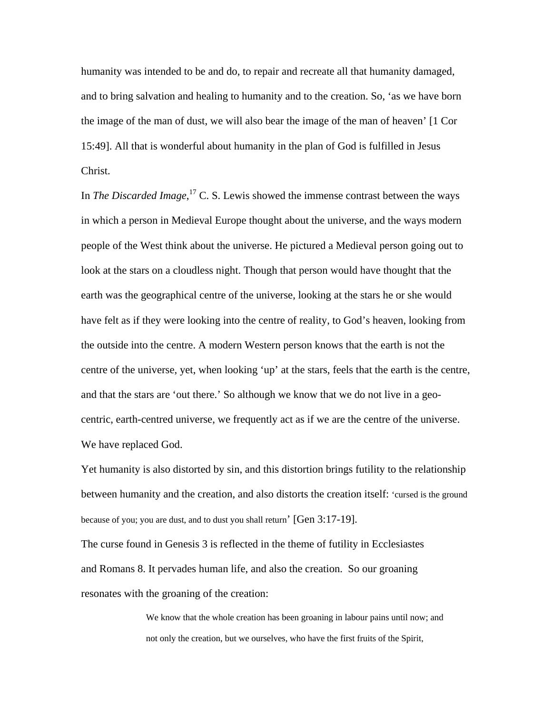humanity was intended to be and do, to repair and recreate all that humanity damaged, and to bring salvation and healing to humanity and to the creation. So, 'as we have born the image of the man of dust, we will also bear the image of the man of heaven' [1 Cor 15:49]. All that is wonderful about humanity in the plan of God is fulfilled in Jesus Christ.

In *The Discarded Image*,<sup>17</sup> C. S. Lewis showed the immense contrast between the ways in which a person in Medieval Europe thought about the universe, and the ways modern people of the West think about the universe. He pictured a Medieval person going out to look at the stars on a cloudless night. Though that person would have thought that the earth was the geographical centre of the universe, looking at the stars he or she would have felt as if they were looking into the centre of reality, to God's heaven, looking from the outside into the centre. A modern Western person knows that the earth is not the centre of the universe, yet, when looking 'up' at the stars, feels that the earth is the centre, and that the stars are 'out there.' So although we know that we do not live in a geocentric, earth-centred universe, we frequently act as if we are the centre of the universe. We have replaced God.

Yet humanity is also distorted by sin, and this distortion brings futility to the relationship between humanity and the creation, and also distorts the creation itself: 'cursed is the ground because of you; you are dust, and to dust you shall return' [Gen 3:17-19].

The curse found in Genesis 3 is reflected in the theme of futility in Ecclesiastes and Romans 8. It pervades human life, and also the creation. So our groaning resonates with the groaning of the creation:

> We know that the whole creation has been groaning in labour pains until now; and not only the creation, but we ourselves, who have the first fruits of the Spirit,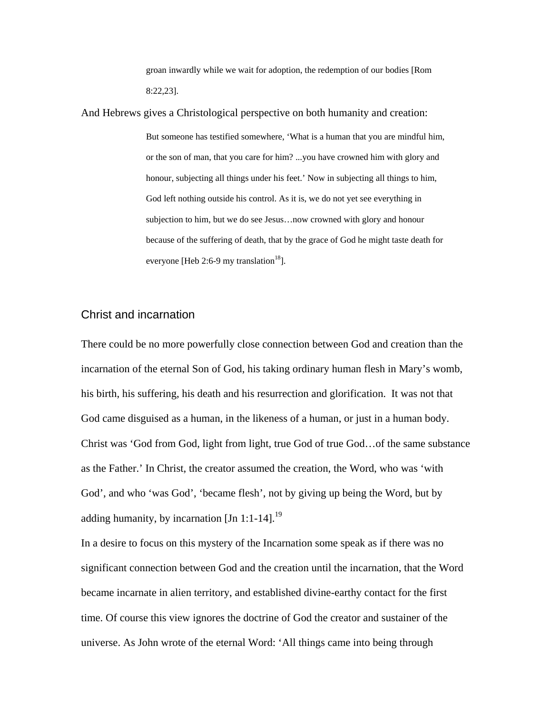groan inwardly while we wait for adoption, the redemption of our bodies [Rom 8:22,23].

And Hebrews gives a Christological perspective on both humanity and creation: But someone has testified somewhere, 'What is a human that you are mindful him, or the son of man, that you care for him? ...you have crowned him with glory and honour, subjecting all things under his feet.' Now in subjecting all things to him, God left nothing outside his control. As it is, we do not yet see everything in subjection to him, but we do see Jesus…now crowned with glory and honour because of the suffering of death, that by the grace of God he might taste death for everyone [Heb 2:6-9 my translation<sup>18</sup>].

# Christ and incarnation

There could be no more powerfully close connection between God and creation than the incarnation of the eternal Son of God, his taking ordinary human flesh in Mary's womb, his birth, his suffering, his death and his resurrection and glorification. It was not that God came disguised as a human, in the likeness of a human, or just in a human body. Christ was 'God from God, light from light, true God of true God…of the same substance as the Father.' In Christ, the creator assumed the creation, the Word, who was 'with God', and who 'was God', 'became flesh', not by giving up being the Word, but by adding humanity, by incarnation  $\text{[Jn 1:1-14]}^{19}$ 

In a desire to focus on this mystery of the Incarnation some speak as if there was no significant connection between God and the creation until the incarnation, that the Word became incarnate in alien territory, and established divine-earthy contact for the first time. Of course this view ignores the doctrine of God the creator and sustainer of the universe. As John wrote of the eternal Word: 'All things came into being through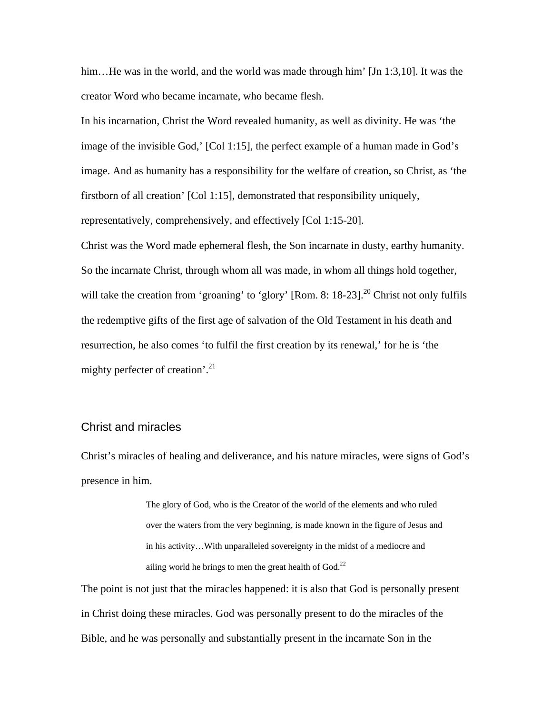him...He was in the world, and the world was made through him' [Jn 1:3,10]. It was the creator Word who became incarnate, who became flesh.

In his incarnation, Christ the Word revealed humanity, as well as divinity. He was 'the image of the invisible God,' [Col 1:15], the perfect example of a human made in God's image. And as humanity has a responsibility for the welfare of creation, so Christ, as 'the firstborn of all creation' [Col 1:15], demonstrated that responsibility uniquely, representatively, comprehensively, and effectively [Col 1:15-20].

Christ was the Word made ephemeral flesh, the Son incarnate in dusty, earthy humanity. So the incarnate Christ, through whom all was made, in whom all things hold together, will take the creation from 'groaning' to 'glory' [Rom. 8: 18-23].<sup>20</sup> Christ not only fulfils the redemptive gifts of the first age of salvation of the Old Testament in his death and resurrection, he also comes 'to fulfil the first creation by its renewal,' for he is 'the mighty perfecter of creation'.<sup>21</sup>

#### Christ and miracles

Christ's miracles of healing and deliverance, and his nature miracles, were signs of God's presence in him.

> The glory of God, who is the Creator of the world of the elements and who ruled over the waters from the very beginning, is made known in the figure of Jesus and in his activity…With unparalleled sovereignty in the midst of a mediocre and ailing world he brings to men the great health of  $God.<sup>22</sup>$

The point is not just that the miracles happened: it is also that God is personally present in Christ doing these miracles. God was personally present to do the miracles of the Bible, and he was personally and substantially present in the incarnate Son in the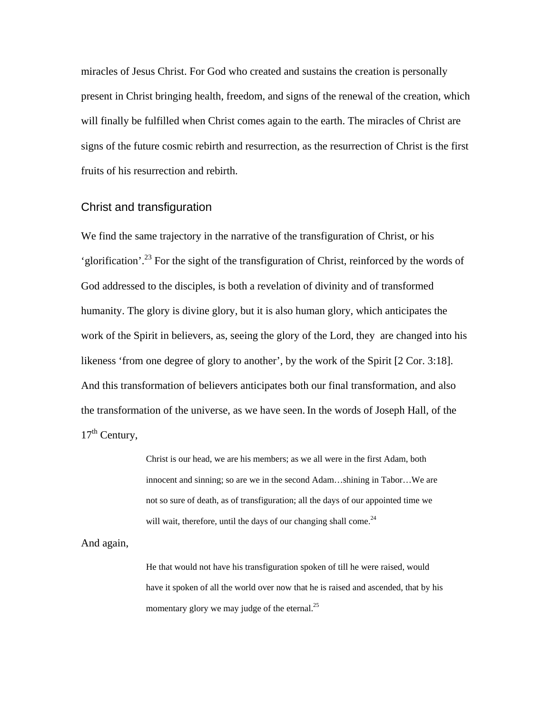miracles of Jesus Christ. For God who created and sustains the creation is personally present in Christ bringing health, freedom, and signs of the renewal of the creation, which will finally be fulfilled when Christ comes again to the earth. The miracles of Christ are signs of the future cosmic rebirth and resurrection, as the resurrection of Christ is the first fruits of his resurrection and rebirth.

# Christ and transfiguration

We find the same trajectory in the narrative of the transfiguration of Christ, or his 'glorification'.23 For the sight of the transfiguration of Christ, reinforced by the words of God addressed to the disciples, is both a revelation of divinity and of transformed humanity. The glory is divine glory, but it is also human glory, which anticipates the work of the Spirit in believers, as, seeing the glory of the Lord, they are changed into his likeness 'from one degree of glory to another', by the work of the Spirit [2 Cor. 3:18]. And this transformation of believers anticipates both our final transformation, and also the transformation of the universe, as we have seen.In the words of Joseph Hall, of the  $17<sup>th</sup>$  Century,

> Christ is our head, we are his members; as we all were in the first Adam, both innocent and sinning; so are we in the second Adam…shining in Tabor…We are not so sure of death, as of transfiguration; all the days of our appointed time we will wait, therefore, until the days of our changing shall come.<sup>24</sup>

And again,

He that would not have his transfiguration spoken of till he were raised, would have it spoken of all the world over now that he is raised and ascended, that by his momentary glory we may judge of the eternal.<sup>25</sup>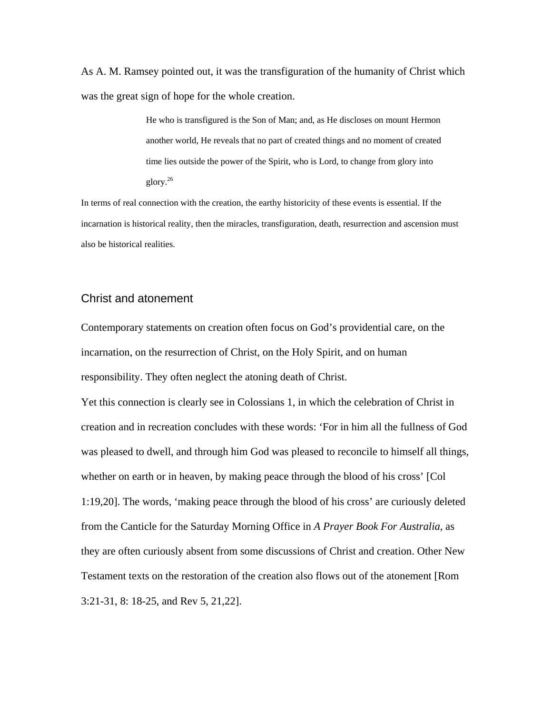As A. M. Ramsey pointed out, it was the transfiguration of the humanity of Christ which was the great sign of hope for the whole creation.

> He who is transfigured is the Son of Man; and, as He discloses on mount Hermon another world, He reveals that no part of created things and no moment of created time lies outside the power of the Spirit, who is Lord, to change from glory into glory.26

In terms of real connection with the creation, the earthy historicity of these events is essential. If the incarnation is historical reality, then the miracles, transfiguration, death, resurrection and ascension must also be historical realities.

# Christ and atonement

Contemporary statements on creation often focus on God's providential care, on the incarnation, on the resurrection of Christ, on the Holy Spirit, and on human responsibility. They often neglect the atoning death of Christ.

Yet this connection is clearly see in Colossians 1, in which the celebration of Christ in creation and in recreation concludes with these words: 'For in him all the fullness of God was pleased to dwell, and through him God was pleased to reconcile to himself all things, whether on earth or in heaven, by making peace through the blood of his cross' [Col 1:19,20]. The words, 'making peace through the blood of his cross' are curiously deleted from the Canticle for the Saturday Morning Office in *A Prayer Book For Australia*, as they are often curiously absent from some discussions of Christ and creation. Other New Testament texts on the restoration of the creation also flows out of the atonement [Rom 3:21-31, 8: 18-25, and Rev 5, 21,22].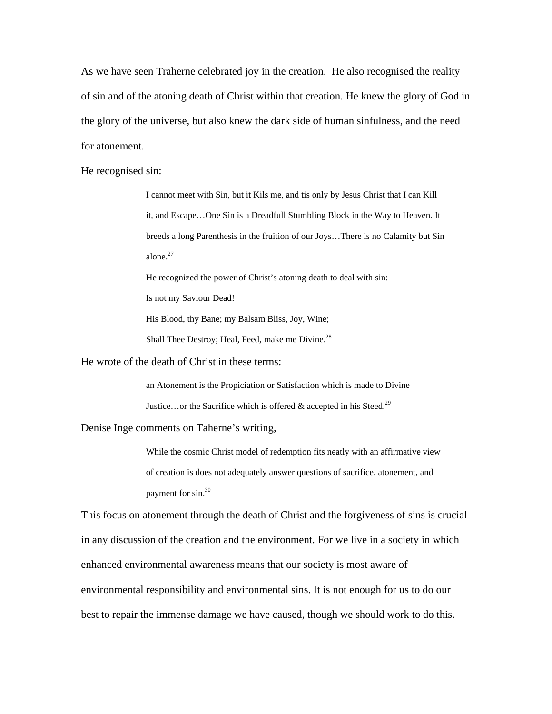As we have seen Traherne celebrated joy in the creation. He also recognised the reality of sin and of the atoning death of Christ within that creation. He knew the glory of God in the glory of the universe, but also knew the dark side of human sinfulness, and the need for atonement.

He recognised sin:

I cannot meet with Sin, but it Kils me, and tis only by Jesus Christ that I can Kill it, and Escape…One Sin is a Dreadfull Stumbling Block in the Way to Heaven. It breeds a long Parenthesis in the fruition of our Joys…There is no Calamity but Sin alone.27

He recognized the power of Christ's atoning death to deal with sin:

Is not my Saviour Dead!

His Blood, thy Bane; my Balsam Bliss, Joy, Wine;

Shall Thee Destroy; Heal, Feed, make me Divine.<sup>28</sup>

He wrote of the death of Christ in these terms:

an Atonement is the Propiciation or Satisfaction which is made to Divine Justice...or the Sacrifice which is offered  $\&$  accepted in his Steed.<sup>29</sup>

Denise Inge comments on Taherne's writing,

While the cosmic Christ model of redemption fits neatly with an affirmative view of creation is does not adequately answer questions of sacrifice, atonement, and payment for sin.<sup>30</sup>

This focus on atonement through the death of Christ and the forgiveness of sins is crucial in any discussion of the creation and the environment. For we live in a society in which enhanced environmental awareness means that our society is most aware of environmental responsibility and environmental sins. It is not enough for us to do our best to repair the immense damage we have caused, though we should work to do this.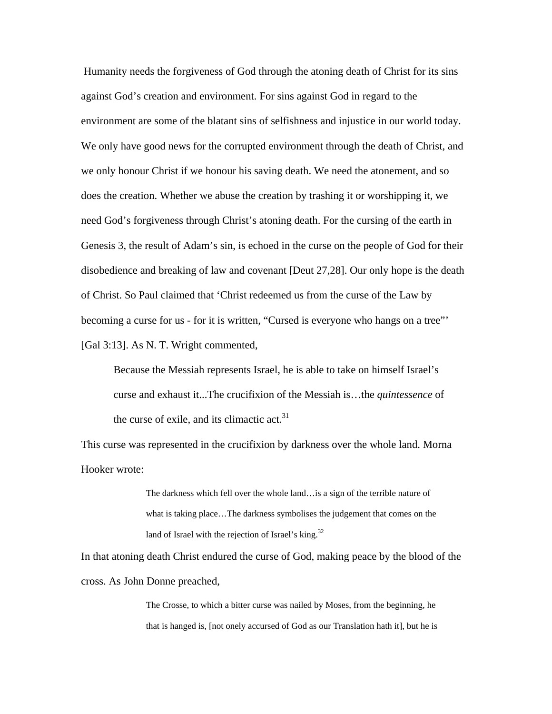Humanity needs the forgiveness of God through the atoning death of Christ for its sins against God's creation and environment. For sins against God in regard to the environment are some of the blatant sins of selfishness and injustice in our world today. We only have good news for the corrupted environment through the death of Christ, and we only honour Christ if we honour his saving death. We need the atonement, and so does the creation. Whether we abuse the creation by trashing it or worshipping it, we need God's forgiveness through Christ's atoning death. For the cursing of the earth in Genesis 3, the result of Adam's sin, is echoed in the curse on the people of God for their disobedience and breaking of law and covenant [Deut 27,28]. Our only hope is the death of Christ. So Paul claimed that 'Christ redeemed us from the curse of the Law by becoming a curse for us - for it is written, "Cursed is everyone who hangs on a tree"' [Gal 3:13]. As N. T. Wright commented,

Because the Messiah represents Israel, he is able to take on himself Israel's curse and exhaust it...The crucifixion of the Messiah is…the *quintessence* of the curse of exile, and its climactic act. $31$ 

This curse was represented in the crucifixion by darkness over the whole land. Morna Hooker wrote:

> The darkness which fell over the whole land…is a sign of the terrible nature of what is taking place…The darkness symbolises the judgement that comes on the land of Israel with the rejection of Israel's king.<sup>32</sup>

In that atoning death Christ endured the curse of God, making peace by the blood of the cross. As John Donne preached,

> The Crosse, to which a bitter curse was nailed by Moses, from the beginning, he that is hanged is, [not onely accursed of God as our Translation hath it], but he is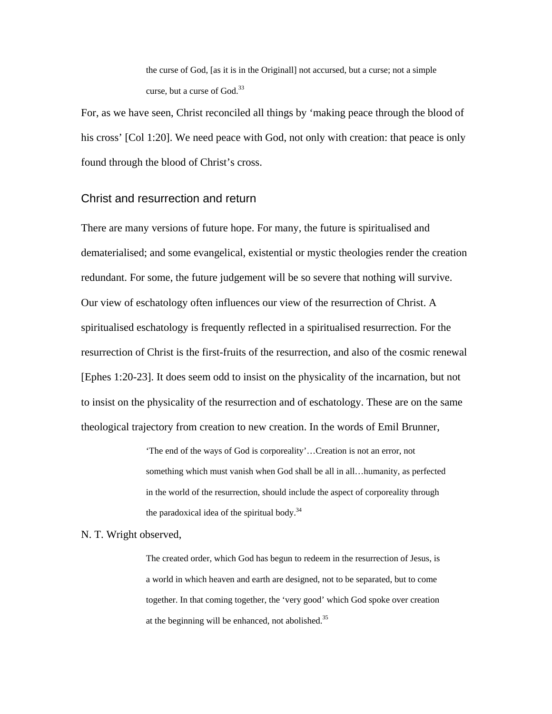the curse of God, [as it is in the Originall] not accursed, but a curse; not a simple curse, but a curse of  $God.<sup>33</sup>$ 

For, as we have seen, Christ reconciled all things by 'making peace through the blood of his cross' [Col 1:20]. We need peace with God, not only with creation: that peace is only found through the blood of Christ's cross.

#### Christ and resurrection and return

There are many versions of future hope. For many, the future is spiritualised and dematerialised; and some evangelical, existential or mystic theologies render the creation redundant. For some, the future judgement will be so severe that nothing will survive. Our view of eschatology often influences our view of the resurrection of Christ. A spiritualised eschatology is frequently reflected in a spiritualised resurrection. For the resurrection of Christ is the first-fruits of the resurrection, and also of the cosmic renewal [Ephes 1:20-23]. It does seem odd to insist on the physicality of the incarnation, but not to insist on the physicality of the resurrection and of eschatology. These are on the same theological trajectory from creation to new creation. In the words of Emil Brunner,

> 'The end of the ways of God is corporeality'…Creation is not an error, not something which must vanish when God shall be all in all…humanity, as perfected in the world of the resurrection, should include the aspect of corporeality through the paradoxical idea of the spiritual body. $34$

#### N. T. Wright observed,

The created order, which God has begun to redeem in the resurrection of Jesus, is a world in which heaven and earth are designed, not to be separated, but to come together. In that coming together, the 'very good' which God spoke over creation at the beginning will be enhanced, not abolished.<sup>35</sup>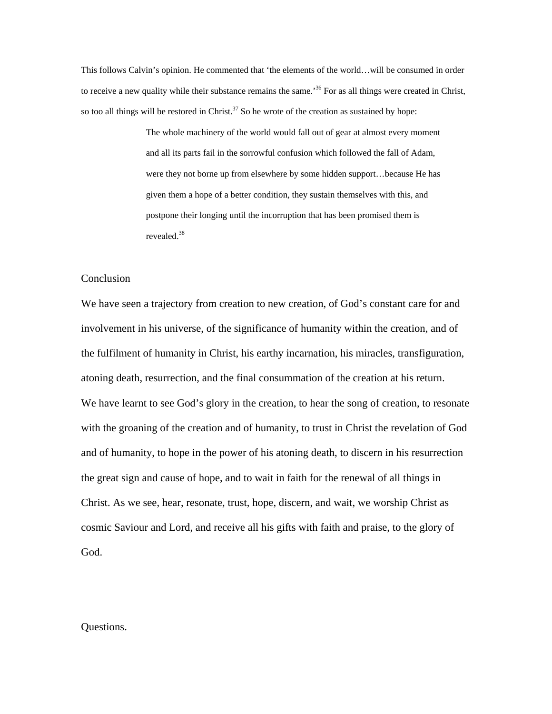This follows Calvin's opinion. He commented that 'the elements of the world…will be consumed in order to receive a new quality while their substance remains the same.<sup>36</sup> For as all things were created in Christ, so too all things will be restored in Christ.<sup>37</sup> So he wrote of the creation as sustained by hope:

> The whole machinery of the world would fall out of gear at almost every moment and all its parts fail in the sorrowful confusion which followed the fall of Adam, were they not borne up from elsewhere by some hidden support…because He has given them a hope of a better condition, they sustain themselves with this, and postpone their longing until the incorruption that has been promised them is revealed.38

# **Conclusion**

We have seen a trajectory from creation to new creation, of God's constant care for and involvement in his universe, of the significance of humanity within the creation, and of the fulfilment of humanity in Christ, his earthy incarnation, his miracles, transfiguration, atoning death, resurrection, and the final consummation of the creation at his return. We have learnt to see God's glory in the creation, to hear the song of creation, to resonate with the groaning of the creation and of humanity, to trust in Christ the revelation of God and of humanity, to hope in the power of his atoning death, to discern in his resurrection the great sign and cause of hope, and to wait in faith for the renewal of all things in Christ. As we see, hear, resonate, trust, hope, discern, and wait, we worship Christ as cosmic Saviour and Lord, and receive all his gifts with faith and praise, to the glory of God.

#### Questions.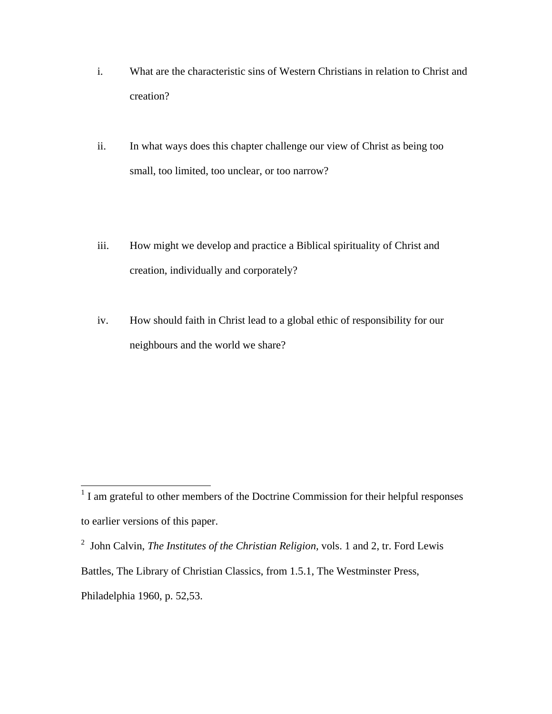- i. What are the characteristic sins of Western Christians in relation to Christ and creation?
- ii. In what ways does this chapter challenge our view of Christ as being too small, too limited, too unclear, or too narrow?
- iii. How might we develop and practice a Biblical spirituality of Christ and creation, individually and corporately?
- iv. How should faith in Christ lead to a global ethic of responsibility for our neighbours and the world we share?

<sup>&</sup>lt;sup>1</sup> I am grateful to other members of the Doctrine Commission for their helpful responses to earlier versions of this paper.

<sup>2</sup> John Calvin, *The Institutes of the Christian Religion,* vols. 1 and 2, tr. Ford Lewis Battles, The Library of Christian Classics, from 1.5.1, The Westminster Press, Philadelphia 1960, p. 52,53.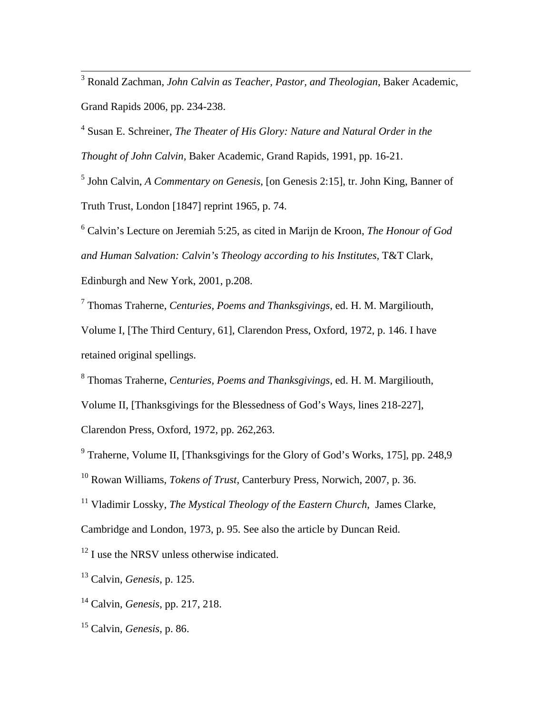3 Ronald Zachman, *John Calvin as Teacher, Pastor, and Theologian*, Baker Academic, Grand Rapids 2006, pp. 234-238.

4 Susan E. Schreiner, *The Theater of His Glory: Nature and Natural Order in the Thought of John Calvin,* Baker Academic, Grand Rapids, 1991, pp. 16-21.

5 John Calvin, *A Commentary on Genesis*, [on Genesis 2:15], tr. John King, Banner of Truth Trust, London [1847] reprint 1965, p. 74.

6 Calvin's Lecture on Jeremiah 5:25, as cited in Marijn de Kroon, *The Honour of God and Human Salvation: Calvin's Theology according to his Institutes,* T&T Clark, Edinburgh and New York, 2001, p.208.

7 Thomas Traherne, *Centuries, Poems and Thanksgivings*, ed. H. M. Margiliouth, Volume I, [The Third Century, 61], Clarendon Press, Oxford, 1972, p. 146. I have retained original spellings.

8 Thomas Traherne, *Centuries, Poems and Thanksgivings*, ed. H. M. Margiliouth, Volume II, [Thanksgivings for the Blessedness of God's Ways, lines 218-227],

Clarendon Press, Oxford, 1972, pp. 262,263.

<sup>9</sup> Traherne, Volume II, [Thanksgivings for the Glory of God's Works, 175], pp. 248,9

10 Rowan Williams, *Tokens of Trust*, Canterbury Press, Norwich, 2007, p. 36.

<sup>11</sup> Vladimir Lossky, *The Mystical Theology of the Eastern Church*, James Clarke,

Cambridge and London, 1973, p. 95. See also the article by Duncan Reid.

<sup>12</sup> I use the NRSV unless otherwise indicated.

13 Calvin, *Genesis*, p. 125.

<sup>14</sup> Calvin, *Genesis*, pp. 217, 218.

<sup>15</sup> Calvin, *Genesis*, p. 86.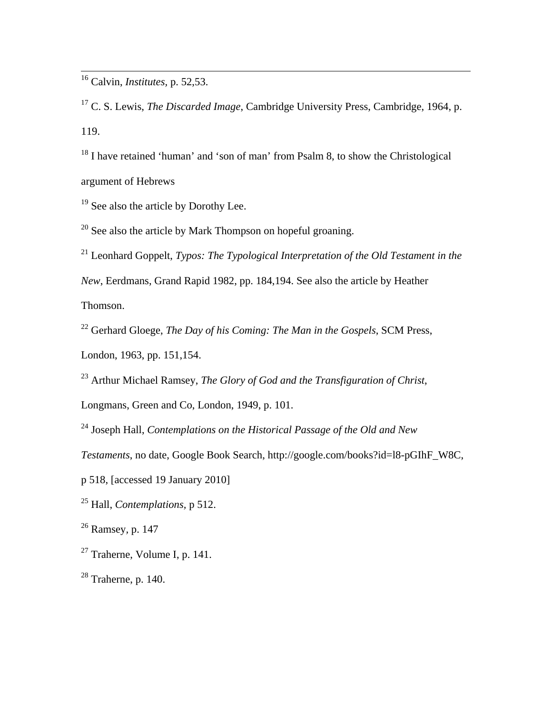16 Calvin, *Institutes,* p. 52,53.

17 C. S. Lewis, *The Discarded Image*, Cambridge University Press, Cambridge, 1964, p. 119.

<sup>18</sup> I have retained 'human' and 'son of man' from Psalm 8, to show the Christological argument of Hebrews

<sup>19</sup> See also the article by Dorothy Lee.

 $20$  See also the article by Mark Thompson on hopeful groaning.

21 Leonhard Goppelt, *Typos: The Typological Interpretation of the Old Testament in the New*, Eerdmans, Grand Rapid 1982, pp. 184,194. See also the article by Heather Thomson.

22 Gerhard Gloege, *The Day of his Coming: The Man in the Gospels*, SCM Press,

London, 1963, pp. 151,154.

23 Arthur Michael Ramsey, *The Glory of God and the Transfiguration of Christ*,

Longmans, Green and Co, London, 1949, p. 101.

24 Joseph Hall, *Contemplations on the Historical Passage of the Old and New* 

*Testaments*, no date, Google Book Search, http://google.com/books?id=l8-pGIhF\_W8C,

p 518, [accessed 19 January 2010]

25 Hall, *Contemplations,* p 512.

26 Ramsey*,* p. 147

 $27$  Traherne, Volume I, p. 141.

 $28$  Traherne, p. 140.